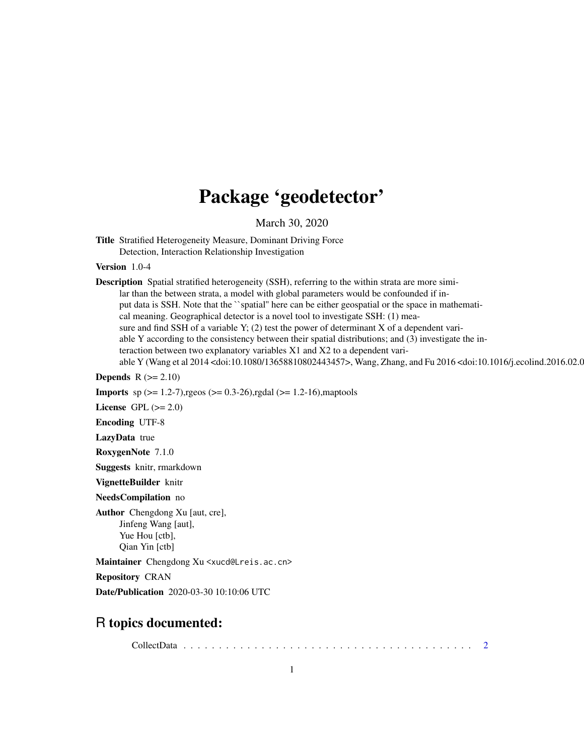# Package 'geodetector'

March 30, 2020

Title Stratified Heterogeneity Measure, Dominant Driving Force Detection, Interaction Relationship Investigation

Version 1.0-4

Description Spatial stratified heterogeneity (SSH), referring to the within strata are more similar than the between strata, a model with global parameters would be confounded if input data is SSH. Note that the ``spatial'' here can be either geospatial or the space in mathemati-

cal meaning. Geographical detector is a novel tool to investigate SSH: (1) mea-

sure and find SSH of a variable Y;  $(2)$  test the power of determinant X of a dependent variable Y according to the consistency between their spatial distributions; and (3) investigate the in-

teraction between two explanatory variables X1 and X2 to a dependent vari-

able Y (Wang et al 2014 <doi:10.1080/13658810802443457>, Wang, Zhang, and Fu 2016 <doi:10.1016/j.ecolind.2016.02.0

**Depends**  $R$  ( $>= 2.10$ )

**Imports** sp  $(>= 1.2-7)$ , rgeos  $(>= 0.3-26)$ , rgdal  $(>= 1.2-16)$ , maptools

License GPL  $(>= 2.0)$ 

Encoding UTF-8

LazyData true

RoxygenNote 7.1.0

Suggests knitr, rmarkdown

VignetteBuilder knitr

NeedsCompilation no

Author Chengdong Xu [aut, cre], Jinfeng Wang [aut], Yue Hou [ctb], Qian Yin [ctb]

Maintainer Chengdong Xu <xucd@Lreis.ac.cn>

Repository CRAN

Date/Publication 2020-03-30 10:10:06 UTC

# R topics documented:

CollectData . . . . . . . . . . . . . . . . . . . . . . . . . . . . . . . . . . . . . . . . . [2](#page-1-0)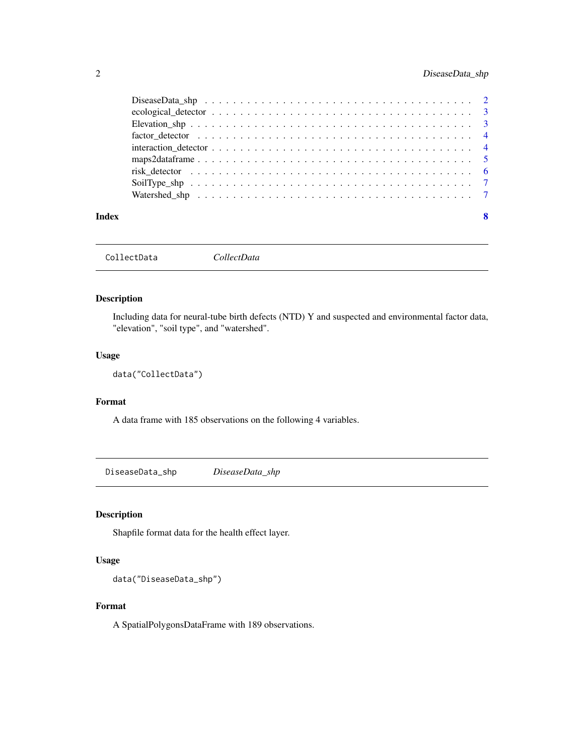<span id="page-1-0"></span>

|       | factor detector $\dots \dots \dots \dots \dots \dots \dots \dots \dots \dots \dots \dots \dots \dots \dots \dots$ |   |
|-------|-------------------------------------------------------------------------------------------------------------------|---|
|       |                                                                                                                   |   |
|       |                                                                                                                   |   |
|       |                                                                                                                   |   |
|       |                                                                                                                   |   |
|       |                                                                                                                   |   |
|       |                                                                                                                   |   |
| Index |                                                                                                                   | 8 |

CollectData *CollectData*

# Description

Including data for neural-tube birth defects (NTD) Y and suspected and environmental factor data, "elevation", "soil type", and "watershed".

# Usage

```
data("CollectData")
```
# Format

A data frame with 185 observations on the following 4 variables.

DiseaseData\_shp *DiseaseData\_shp*

# Description

Shapfile format data for the health effect layer.

# Usage

data("DiseaseData\_shp")

# Format

A SpatialPolygonsDataFrame with 189 observations.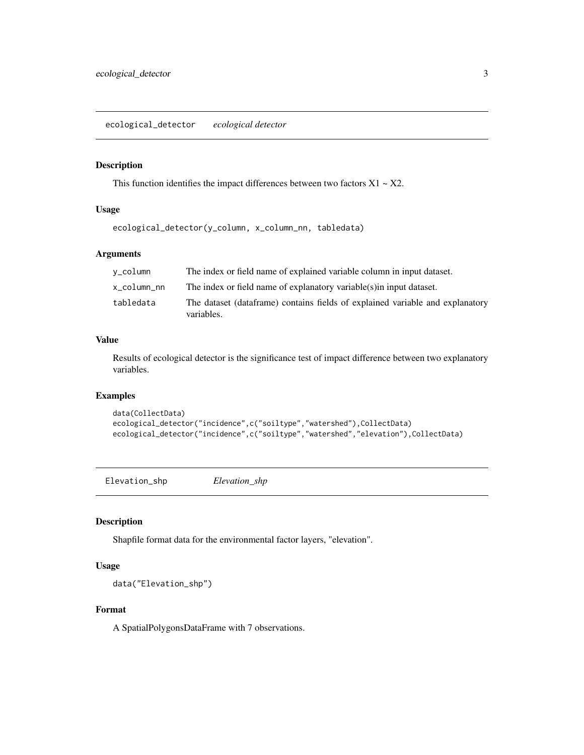<span id="page-2-0"></span>ecological\_detector *ecological detector*

#### Description

This function identifies the impact differences between two factors  $X1 - X2$ .

# Usage

ecological\_detector(y\_column, x\_column\_nn, tabledata)

# Arguments

| v_column    | The index or field name of explained variable column in input dataset.                       |
|-------------|----------------------------------------------------------------------------------------------|
| x_column_nn | The index or field name of explanatory variable (s) in input dataset.                        |
| tabledata   | The dataset (data frame) contains fields of explained variable and explanatory<br>variables. |

# Value

Results of ecological detector is the significance test of impact difference between two explanatory variables.

# Examples

```
data(CollectData)
ecological_detector("incidence",c("soiltype","watershed"),CollectData)
ecological_detector("incidence",c("soiltype","watershed","elevation"),CollectData)
```
Elevation\_shp *Elevation\_shp*

#### Description

Shapfile format data for the environmental factor layers, "elevation".

# Usage

```
data("Elevation_shp")
```
# Format

A SpatialPolygonsDataFrame with 7 observations.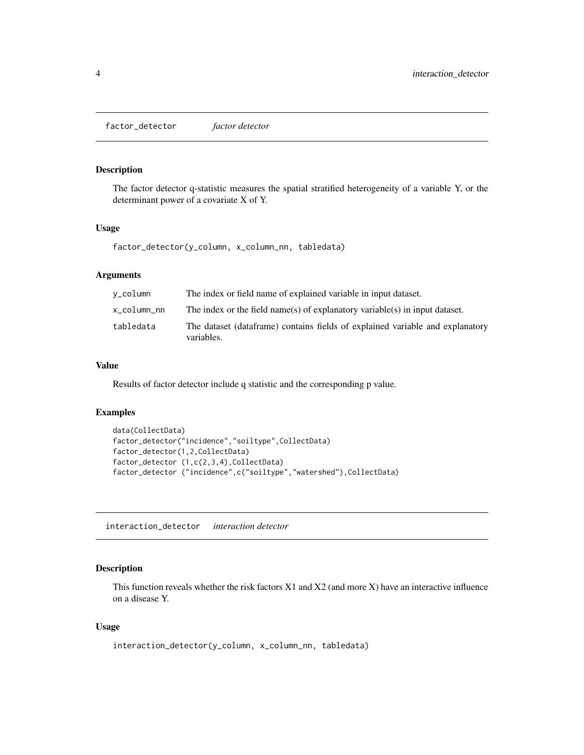<span id="page-3-0"></span>factor\_detector *factor detector*

# Description

The factor detector q-statistic measures the spatial stratified heterogeneity of a variable Y, or the determinant power of a covariate X of Y.

#### Usage

factor\_detector(y\_column, x\_column\_nn, tabledata)

# Arguments

| v_column    | The index or field name of explained variable in input dataset.                              |
|-------------|----------------------------------------------------------------------------------------------|
| x_column_nn | The index or the field name(s) of explanatory variable(s) in input dataset.                  |
| tabledata   | The dataset (data frame) contains fields of explained variable and explanatory<br>variables. |

# Value

Results of factor detector include q statistic and the corresponding p value.

#### Examples

```
data(CollectData)
factor_detector("incidence","soiltype",CollectData)
factor_detector(1,2,CollectData)
factor_detector (1,c(2,3,4),CollectData)
factor_detector ("incidence",c("soiltype","watershed"),CollectData)
```
interaction\_detector *interaction detector*

# Description

This function reveals whether the risk factors X1 and X2 (and more X) have an interactive influence on a disease Y.

#### Usage

```
interaction_detector(y_column, x_column_nn, tabledata)
```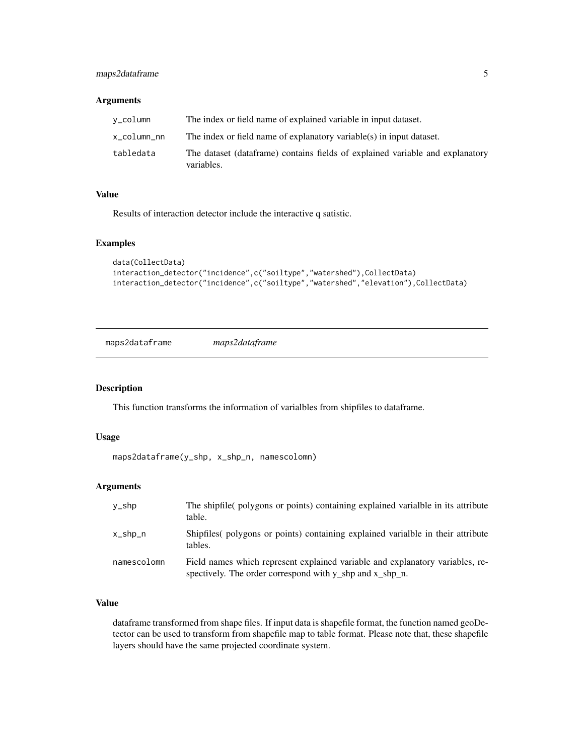# <span id="page-4-0"></span>maps2dataframe 5

#### Arguments

| v_column    | The index or field name of explained variable in input dataset.                             |
|-------------|---------------------------------------------------------------------------------------------|
| x_column_nn | The index or field name of explanatory variable(s) in input dataset.                        |
| tabledata   | The dataset (dataframe) contains fields of explained variable and explanatory<br>variables. |

# Value

Results of interaction detector include the interactive q satistic.

#### Examples

```
data(CollectData)
interaction_detector("incidence",c("soiltype","watershed"),CollectData)
interaction_detector("incidence",c("soiltype","watershed","elevation"),CollectData)
```
maps2dataframe *maps2dataframe*

# Description

This function transforms the information of varialbles from shipfiles to dataframe.

#### Usage

```
maps2dataframe(y_shp, x_shp_n, namescolomn)
```
# Arguments

| y_shp       | The shipfile(polygons or points) containing explained varialble in its attribute<br>table.                                                |
|-------------|-------------------------------------------------------------------------------------------------------------------------------------------|
| x_shp_n     | Shipfiles (polygons or points) containing explained variable in their attribute<br>tables.                                                |
| namescolomn | Field names which represent explained variable and explanatory variables, re-<br>spectively. The order correspond with y_shp and x_shp_n. |

# Value

dataframe transformed from shape files. If input data is shapefile format, the function named geoDetector can be used to transform from shapefile map to table format. Please note that, these shapefile layers should have the same projected coordinate system.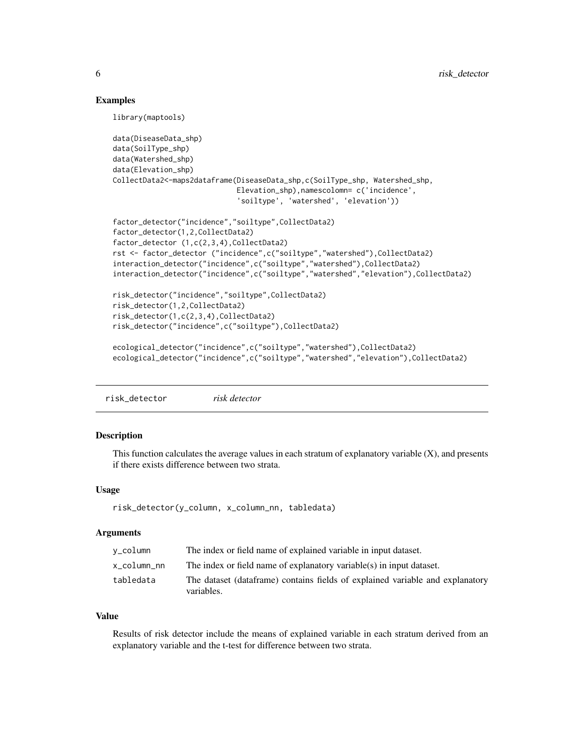### Examples

library(maptools)

```
data(DiseaseData_shp)
data(SoilType_shp)
data(Watershed_shp)
data(Elevation_shp)
CollectData2<-maps2dataframe(DiseaseData_shp,c(SoilType_shp, Watershed_shp,
                             Elevation_shp),namescolomn= c('incidence',
                             'soiltype', 'watershed', 'elevation'))
factor_detector("incidence","soiltype",CollectData2)
factor_detector(1,2,CollectData2)
factor_detector (1,c(2,3,4),CollectData2)
rst <- factor_detector ("incidence",c("soiltype","watershed"),CollectData2)
interaction_detector("incidence",c("soiltype","watershed"),CollectData2)
interaction_detector("incidence",c("soiltype","watershed","elevation"),CollectData2)
risk_detector("incidence","soiltype",CollectData2)
risk_detector(1,2,CollectData2)
risk_detector(1,c(2,3,4),CollectData2)
risk_detector("incidence",c("soiltype"),CollectData2)
ecological_detector("incidence",c("soiltype","watershed"),CollectData2)
ecological_detector("incidence",c("soiltype","watershed","elevation"),CollectData2)
```
risk\_detector *risk detector*

### Description

This function calculates the average values in each stratum of explanatory variable  $(X)$ , and presents if there exists difference between two strata.

#### Usage

risk\_detector(y\_column, x\_column\_nn, tabledata)

#### **Arguments**

| v_column    | The index or field name of explained variable in input dataset.                              |
|-------------|----------------------------------------------------------------------------------------------|
| x column nn | The index or field name of explanatory variable(s) in input dataset.                         |
| tabledata   | The dataset (data frame) contains fields of explained variable and explanatory<br>variables. |

#### Value

Results of risk detector include the means of explained variable in each stratum derived from an explanatory variable and the t-test for difference between two strata.

<span id="page-5-0"></span>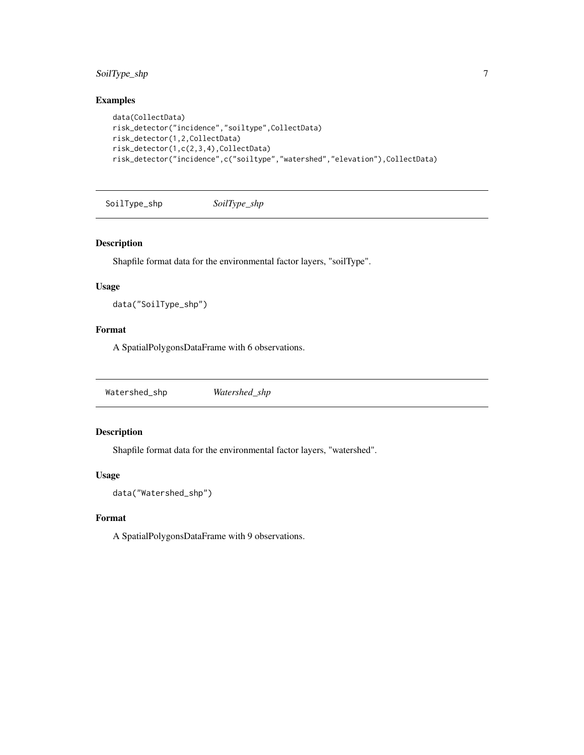# <span id="page-6-0"></span>SoilType\_shp 7

# Examples

```
data(CollectData)
risk_detector("incidence","soiltype",CollectData)
risk_detector(1,2,CollectData)
risk_detector(1,c(2,3,4),CollectData)
risk_detector("incidence",c("soiltype","watershed","elevation"),CollectData)
```
SoilType\_shp *SoilType\_shp*

#### Description

Shapfile format data for the environmental factor layers, "soilType".

#### Usage

data("SoilType\_shp")

# Format

A SpatialPolygonsDataFrame with 6 observations.

Watershed\_shp *Watershed\_shp*

# Description

Shapfile format data for the environmental factor layers, "watershed".

#### Usage

```
data("Watershed_shp")
```
# Format

A SpatialPolygonsDataFrame with 9 observations.